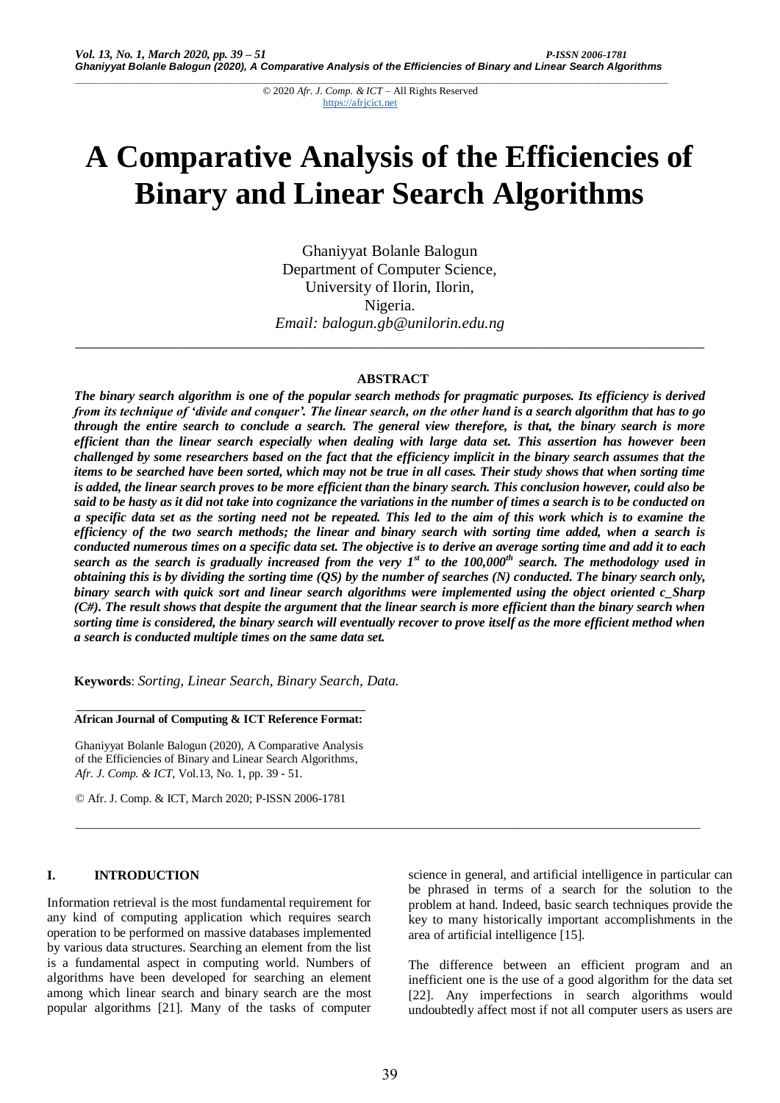# **A Comparative Analysis of the Efficiencies of Binary and Linear Search Algorithms**

Ghaniyyat Bolanle Balogun Department of Computer Science, University of Ilorin, Ilorin, Nigeria. *Email: balogun.gb@unilorin.edu.ng*

# **ABSTRACT**

*\_\_\_\_\_\_\_\_\_\_\_\_\_\_\_\_\_\_\_\_\_\_\_\_\_\_\_\_\_\_\_\_\_\_\_\_\_\_\_\_\_\_\_\_\_\_\_\_\_\_\_\_\_\_\_\_\_\_\_\_\_\_\_\_\_\_\_\_\_\_\_\_\_\_\_\_\_\_\_\_*

*The binary search algorithm is one of the popular search methods for pragmatic purposes. Its efficiency is derived from its technique of 'divide and conquer'. The linear search, on the other hand is a search algorithm that has to go through the entire search to conclude a search. The general view therefore, is that, the binary search is more efficient than the linear search especially when dealing with large data set. This assertion has however been challenged by some researchers based on the fact that the efficiency implicit in the binary search assumes that the items to be searched have been sorted, which may not be true in all cases. Their study shows that when sorting time is added, the linear search proves to be more efficient than the binary search. This conclusion however, could also be said to be hasty as it did not take into cognizance the variations in the number of times a search is to be conducted on a specific data set as the sorting need not be repeated. This led to the aim of this work which is to examine the efficiency of the two search methods; the linear and binary search with sorting time added, when a search is conducted numerous times on a specific data set. The objective is to derive an average sorting time and add it to each search as the search is gradually increased from the very 1st to the 100,000th search. The methodology used in obtaining this is by dividing the sorting time (QS) by the number of searches (N) conducted. The binary search only, binary search with quick sort and linear search algorithms were implemented using the object oriented c\_Sharp (C#). The result shows that despite the argument that the linear search is more efficient than the binary search when sorting time is considered, the binary search will eventually recover to prove itself as the more efficient method when a search is conducted multiple times on the same data set.*

**Keywords**: *Sorting, Linear Search, Binary Search, Data.*

**African Journal of Computing & ICT Reference Format:**

Ghaniyyat Bolanle Balogun (2020), A Comparative Analysis of the Efficiencies of Binary and Linear Search Algorithms, *Afr. J. Comp. & ICT*, Vol.13, No. 1, pp. 39 - 51.

© Afr. J. Comp. & ICT, March 2020; P-ISSN 2006-1781

# **I. INTRODUCTION**

Information retrieval is the most fundamental requirement for any kind of computing application which requires search operation to be performed on massive databases implemented by various data structures. Searching an element from the list is a fundamental aspect in computing world. Numbers of algorithms have been developed for searching an element among which linear search and binary search are the most popular algorithms [21]. Many of the tasks of computer

science in general, and artificial intelligence in particular can be phrased in terms of a search for the solution to the problem at hand. Indeed, basic search techniques provide the key to many historically important accomplishments in the area of artificial intelligence [15].

The difference between an efficient program and an inefficient one is the use of a good algorithm for the data set [22]. Any imperfections in search algorithms would undoubtedly affect most if not all computer users as users are

\_\_\_\_\_\_\_\_\_\_\_\_\_\_\_\_\_\_\_\_\_\_\_\_\_\_\_\_\_\_\_\_\_\_\_\_\_\_\_\_\_\_\_\_\_\_\_\_\_\_\_\_\_\_\_\_\_\_\_\_\_\_\_\_\_\_\_\_\_\_\_\_\_\_\_\_\_\_\_\_\_\_\_\_\_\_\_\_\_\_\_\_\_\_\_\_\_\_\_\_\_\_\_\_\_\_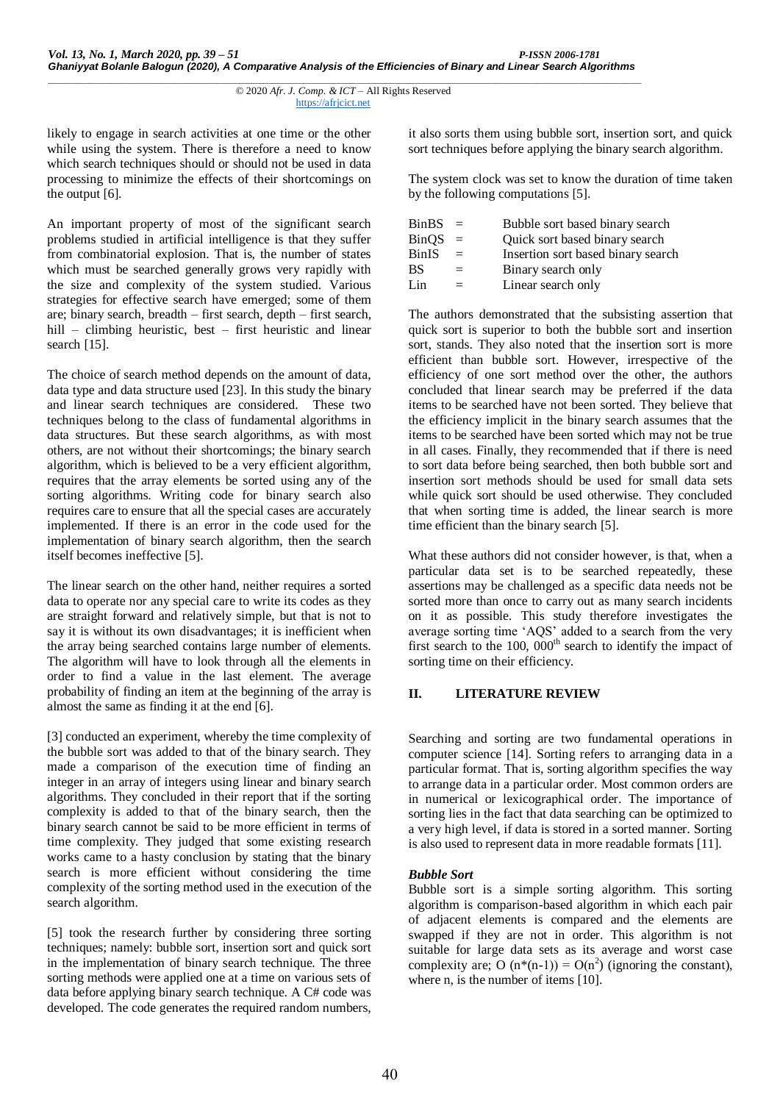likely to engage in search activities at one time or the other while using the system. There is therefore a need to know which search techniques should or should not be used in data processing to minimize the effects of their shortcomings on the output [6].

An important property of most of the significant search problems studied in artificial intelligence is that they suffer from combinatorial explosion. That is, the number of states which must be searched generally grows very rapidly with the size and complexity of the system studied. Various strategies for effective search have emerged; some of them are; binary search, breadth – first search, depth – first search, hill – climbing heuristic, best – first heuristic and linear search [15].

The choice of search method depends on the amount of data, data type and data structure used [23]. In this study the binary and linear search techniques are considered. These two techniques belong to the class of fundamental algorithms in data structures. But these search algorithms, as with most others, are not without their shortcomings; the binary search algorithm, which is believed to be a very efficient algorithm, requires that the array elements be sorted using any of the sorting algorithms. Writing code for binary search also requires care to ensure that all the special cases are accurately implemented. If there is an error in the code used for the implementation of binary search algorithm, then the search itself becomes ineffective [5].

The linear search on the other hand, neither requires a sorted data to operate nor any special care to write its codes as they are straight forward and relatively simple, but that is not to say it is without its own disadvantages; it is inefficient when the array being searched contains large number of elements. The algorithm will have to look through all the elements in order to find a value in the last element. The average probability of finding an item at the beginning of the array is almost the same as finding it at the end [6].

[3] conducted an experiment, whereby the time complexity of the bubble sort was added to that of the binary search. They made a comparison of the execution time of finding an integer in an array of integers using linear and binary search algorithms. They concluded in their report that if the sorting complexity is added to that of the binary search, then the binary search cannot be said to be more efficient in terms of time complexity. They judged that some existing research works came to a hasty conclusion by stating that the binary search is more efficient without considering the time complexity of the sorting method used in the execution of the search algorithm.

[5] took the research further by considering three sorting techniques; namely: bubble sort, insertion sort and quick sort in the implementation of binary search technique. The three sorting methods were applied one at a time on various sets of data before applying binary search technique. A C# code was developed. The code generates the required random numbers,

it also sorts them using bubble sort, insertion sort, and quick sort techniques before applying the binary search algorithm.

The system clock was set to know the duration of time taken by the following computations [5].

| <b>BinBS</b> | $=$ | Bubble sort based binary search    |
|--------------|-----|------------------------------------|
| <b>BinOS</b> | $=$ | Quick sort based binary search     |
| <b>BinIS</b> | $=$ | Insertion sort based binary search |
| <b>BS</b>    | $=$ | Binary search only                 |
| Lin          | $=$ | Linear search only                 |

The authors demonstrated that the subsisting assertion that quick sort is superior to both the bubble sort and insertion sort, stands. They also noted that the insertion sort is more efficient than bubble sort. However, irrespective of the efficiency of one sort method over the other, the authors concluded that linear search may be preferred if the data items to be searched have not been sorted. They believe that the efficiency implicit in the binary search assumes that the items to be searched have been sorted which may not be true in all cases. Finally, they recommended that if there is need to sort data before being searched, then both bubble sort and insertion sort methods should be used for small data sets while quick sort should be used otherwise. They concluded that when sorting time is added, the linear search is more time efficient than the binary search [5].

What these authors did not consider however, is that, when a particular data set is to be searched repeatedly, these assertions may be challenged as a specific data needs not be sorted more than once to carry out as many search incidents on it as possible. This study therefore investigates the average sorting time 'AQS' added to a search from the very first search to the 100,  $0.00$ <sup>th</sup> search to identify the impact of sorting time on their efficiency.

# **II. LITERATURE REVIEW**

Searching and sorting are two fundamental operations in computer science [14]. Sorting refers to arranging data in a particular format. That is, sorting algorithm specifies the way to arrange data in a particular order. Most common orders are in numerical or lexicographical order. The importance of sorting lies in the fact that data searching can be optimized to a very high level, if data is stored in a sorted manner. Sorting is also used to represent data in more readable formats [11].

# *Bubble Sort*

Bubble sort is a simple sorting algorithm. This sorting algorithm is comparison-based algorithm in which each pair of adjacent elements is compared and the elements are swapped if they are not in order. This algorithm is not suitable for large data sets as its average and worst case complexity are; O  $(n^*(n-1)) = O(n^2)$  (ignoring the constant), where n, is the number of items [10].

*\_\_\_\_\_\_\_\_\_\_\_\_\_\_\_\_\_\_\_\_\_\_\_\_\_\_\_\_\_\_\_\_\_\_\_\_\_\_\_\_\_\_\_\_\_\_\_\_\_\_\_\_\_\_\_\_\_\_\_\_\_\_\_\_\_\_\_\_\_\_\_\_\_\_\_\_\_\_\_\_\_\_\_\_\_\_\_\_\_\_\_\_\_\_\_\_\_\_\_\_\_\_* © 2020 *Afr. J. Comp. & ICT* – All Rights Reserved https://afrjcict.net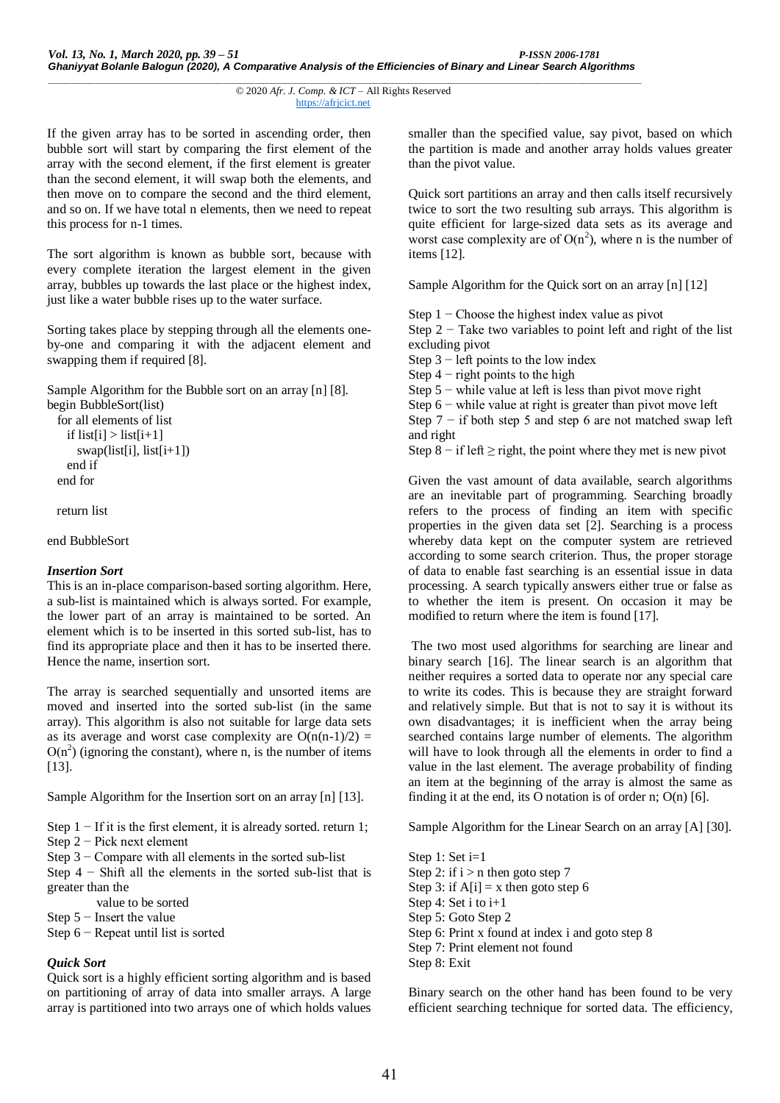```
______________________________________________________________________________________________________
                                    © 2020 Afr. J. Comp. & ICT – All Rights Reserved 
                                                https://afrjcict.net
```
If the given array has to be sorted in ascending order, then bubble sort will start by comparing the first element of the array with the second element, if the first element is greater than the second element, it will swap both the elements, and then move on to compare the second and the third element, and so on. If we have total n elements, then we need to repeat this process for n-1 times.

The sort algorithm is known as bubble sort, because with every complete iteration the largest element in the given array, bubbles up towards the last place or the highest index, just like a water bubble rises up to the water surface.

Sorting takes place by stepping through all the elements oneby-one and comparing it with the adjacent element and swapping them if required [8].

Sample Algorithm for the Bubble sort on an array [n] [8]. begin BubbleSort(list)

```
 for all elements of list
  if list[i] > list[i+1] swap(list[i], list[i+1])
```
 end if end for

return list

end BubbleSort

# *Insertion Sort*

This is an in-place comparison-based sorting algorithm. Here, a sub-list is maintained which is always sorted. For example, the lower part of an array is maintained to be sorted. An element which is to be inserted in this sorted sub-list, has to find its appropriate place and then it has to be inserted there. Hence the name, insertion sort.

The array is searched sequentially and unsorted items are moved and inserted into the sorted sub-list (in the same array). This algorithm is also not suitable for large data sets as its average and worst case complexity are  $O(n(n-1)/2)$  =  $O(n^2)$  (ignoring the constant), where n, is the number of items [13].

Sample Algorithm for the Insertion sort on an array [n] [13].

Step  $1 - If$  it is the first element, it is already sorted. return 1;

Step 2 − Pick next element

Step 3 − Compare with all elements in the sorted sub-list

Step 4 − Shift all the elements in the sorted sub-list that is greater than the

value to be sorted

Step 5 − Insert the value

Step 6 − Repeat until list is sorted

# *Quick Sort*

Quick sort is a highly efficient sorting algorithm and is based on partitioning of array of data into smaller arrays. A large array is partitioned into two arrays one of which holds values

smaller than the specified value, say pivot, based on which the partition is made and another array holds values greater than the pivot value.

Quick sort partitions an array and then calls itself recursively twice to sort the two resulting sub arrays. This algorithm is quite efficient for large-sized data sets as its average and worst case complexity are of  $O(n^2)$ , where n is the number of items [12].

Sample Algorithm for the Quick sort on an array [n] [12]

Step  $1 -$ Choose the highest index value as pivot Step 2 − Take two variables to point left and right of the list excluding pivot

Step  $3$  – left points to the low index

Step  $4$  – right points to the high

Step  $5$  – while value at left is less than pivot move right

Step 6 − while value at right is greater than pivot move left

Step 7 − if both step 5 and step 6 are not matched swap left and right

Step 8 – if left  $\geq$  right, the point where they met is new pivot

Given the vast amount of data available, search algorithms are an inevitable part of programming. Searching broadly refers to the process of finding an item with specific properties in the given data set [2]. Searching is a process whereby data kept on the computer system are retrieved according to some search criterion. Thus, the proper storage of data to enable fast searching is an essential issue in data processing. A search typically answers either true or false as to whether the item is present. On occasion it may be modified to return where the item is found [17].

The two most used algorithms for searching are linear and binary search [16]. The linear search is an algorithm that neither requires a sorted data to operate nor any special care to write its codes. This is because they are straight forward and relatively simple. But that is not to say it is without its own disadvantages; it is inefficient when the array being searched contains large number of elements. The algorithm will have to look through all the elements in order to find a value in the last element. The average probability of finding an item at the beginning of the array is almost the same as finding it at the end, its O notation is of order n; O(n) [6].

Sample Algorithm for the Linear Search on an array [A] [30].

Step 1: Set i=1 Step 2: if  $i > n$  then goto step 7 Step 3: if  $A[i] = x$  then goto step 6 Step 4: Set i to i+1 Step 5: Goto Step 2 Step 6: Print x found at index i and goto step 8 Step 7: Print element not found Step 8: Exit

Binary search on the other hand has been found to be very efficient searching technique for sorted data. The efficiency,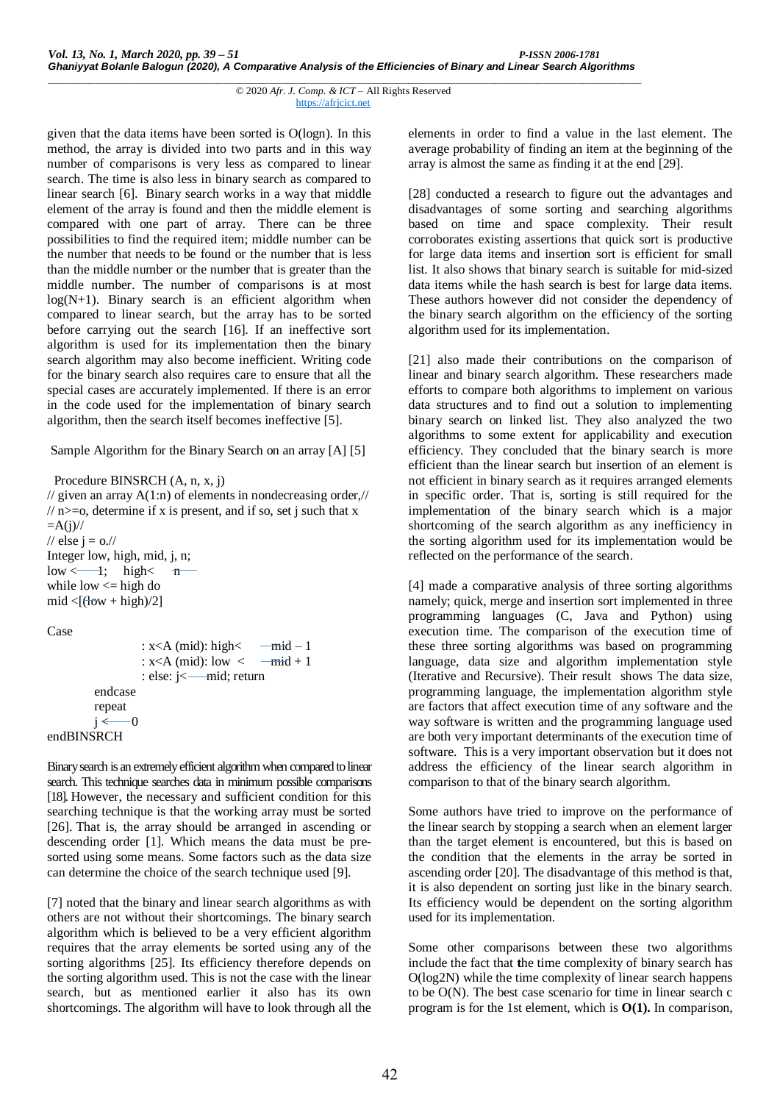```
______________________________________________________________________________________________________
                                    © 2020 Afr. J. Comp. & ICT – All Rights Reserved 
                                                https://afrjcict.net
```
given that the data items have been sorted is O(logn). In this method, the array is divided into two parts and in this way number of comparisons is very less as compared to linear search. The time is also less in binary search as compared to linear search [6]. Binary search works in a way that middle element of the array is found and then the middle element is compared with one part of array. There can be three possibilities to find the required item; middle number can be the number that needs to be found or the number that is less than the middle number or the number that is greater than the middle number. The number of comparisons is at most  $log(N+1)$ . Binary search is an efficient algorithm when compared to linear search, but the array has to be sorted before carrying out the search [16]. If an ineffective sort algorithm is used for its implementation then the binary search algorithm may also become inefficient. Writing code for the binary search also requires care to ensure that all the special cases are accurately implemented. If there is an error in the code used for the implementation of binary search algorithm, then the search itself becomes ineffective [5].

Sample Algorithm for the Binary Search on an array [A] [5]

# Procedure BINSRCH (A, n, x, j)

// given an array  $A(1:n)$  of elements in nondecreasing order,//  $/$  n  $\ge$  =0, determine if x is present, and if so, set j such that x  $=A(i)/\ell$ // else  $i = o$ .// Integer low, high, mid, j, n;  $\text{low} \leftarrow \text{1}; \quad \text{high} \leftarrow \text{m}$ while low  $\leq$  high do  $mid <$ [ $\frac{1}{\text{down}} + \text{high}$ ]

# Case

endBINSRCH

```
: x < A (mid): high< \frac{-mid - 1}{A}: x < A (mid): low \lt \text{--mid} + 1: else: i \leftarrow \text{mid}; return
endcase
repeat
j \leftarrow 0
```
Binary search is an extremely efficient algorithm when compared to linear search. This technique searches data in minimum possible comparisons [18]. However, the necessary and sufficient condition for this searching technique is that the working array must be sorted [26]. That is, the array should be arranged in ascending or descending order [1]. Which means the data must be presorted using some means. Some factors such as the data size can determine the choice of the search technique used [9].

[7] noted that the binary and linear search algorithms as with others are not without their shortcomings. The binary search algorithm which is believed to be a very efficient algorithm requires that the array elements be sorted using any of the sorting algorithms [25]. Its efficiency therefore depends on the sorting algorithm used. This is not the case with the linear search, but as mentioned earlier it also has its own shortcomings. The algorithm will have to look through all the elements in order to find a value in the last element. The average probability of finding an item at the beginning of the array is almost the same as finding it at the end [29].

[28] conducted a research to figure out the advantages and disadvantages of some sorting and searching algorithms based on time and space complexity. Their result corroborates existing assertions that quick sort is productive for large data items and insertion sort is efficient for small list. It also shows that binary search is suitable for mid-sized data items while the hash search is best for large data items. These authors however did not consider the dependency of the binary search algorithm on the efficiency of the sorting algorithm used for its implementation.

[21] also made their contributions on the comparison of linear and binary search algorithm. These researchers made efforts to compare both algorithms to implement on various data structures and to find out a solution to implementing binary search on linked list. They also analyzed the two algorithms to some extent for applicability and execution efficiency. They concluded that the binary search is more efficient than the linear search but insertion of an element is not efficient in binary search as it requires arranged elements in specific order. That is, sorting is still required for the implementation of the binary search which is a major shortcoming of the search algorithm as any inefficiency in the sorting algorithm used for its implementation would be reflected on the performance of the search.

[4] made a comparative analysis of three sorting algorithms namely; quick, merge and insertion sort implemented in three programming languages (C, Java and Python) using execution time. The comparison of the execution time of these three sorting algorithms was based on programming language, data size and algorithm implementation style (Iterative and Recursive). Their result shows The data size, programming language, the implementation algorithm style are factors that affect execution time of any software and the way software is written and the programming language used are both very important determinants of the execution time of software. This is a very important observation but it does not address the efficiency of the linear search algorithm in comparison to that of the binary search algorithm.

Some authors have tried to improve on the performance of the linear search by stopping a search when an element larger than the target element is encountered, but this is based on the condition that the elements in the array be sorted in ascending order [20]. The disadvantage of this method is that, it is also dependent on sorting just like in the binary search. Its efficiency would be dependent on the sorting algorithm used for its implementation.

Some other comparisons between these two algorithms include the fact that **t**he time complexity of binary search has O(log2N) while the time complexity of linear search happens to be O(N). The best case scenario for time in linear search c program is for the 1st element, which is **O(1).** In comparison,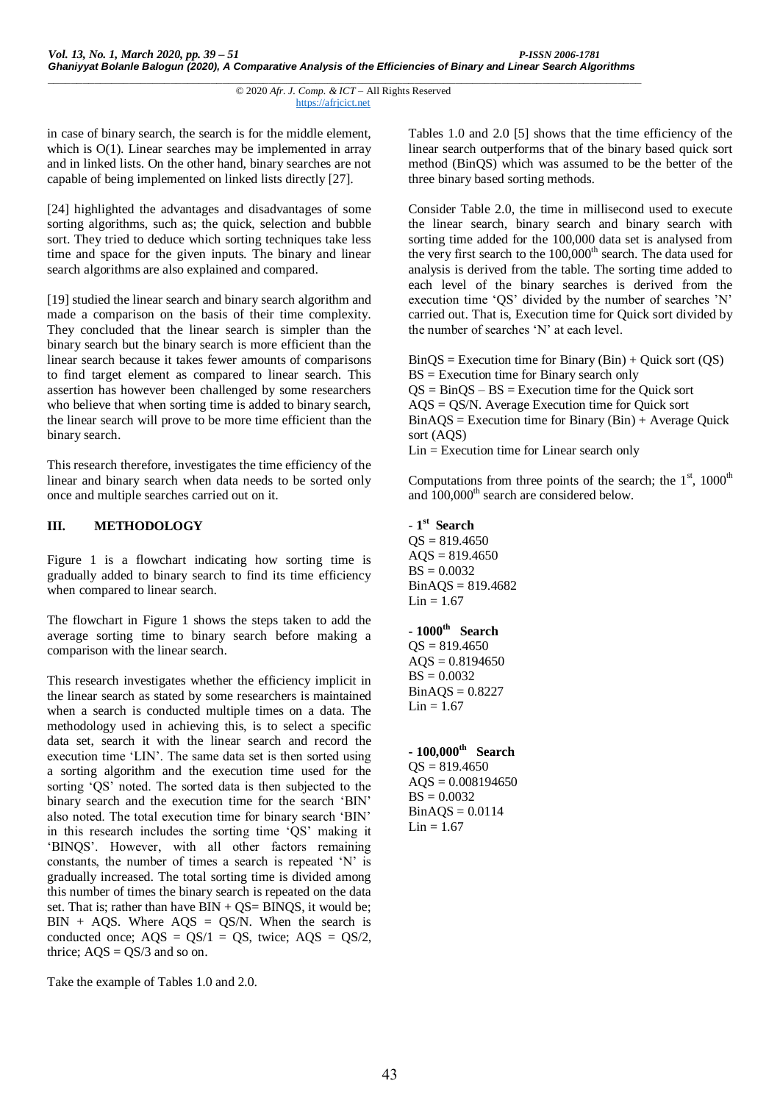in case of binary search, the search is for the middle element, which is  $O(1)$ . Linear searches may be implemented in array and in linked lists. On the other hand, binary searches are not capable of being implemented on linked lists directly [27].

[24] highlighted the advantages and disadvantages of some sorting algorithms, such as; the quick, selection and bubble sort. They tried to deduce which sorting techniques take less time and space for the given inputs. The binary and linear search algorithms are also explained and compared.

[19] studied the linear search and binary search algorithm and made a comparison on the basis of their time complexity. They concluded that the linear search is simpler than the binary search but the binary search is more efficient than the linear search because it takes fewer amounts of comparisons to find target element as compared to linear search. This assertion has however been challenged by some researchers who believe that when sorting time is added to binary search, the linear search will prove to be more time efficient than the binary search.

This research therefore, investigates the time efficiency of the linear and binary search when data needs to be sorted only once and multiple searches carried out on it.

# **III. METHODOLOGY**

Figure 1 is a flowchart indicating how sorting time is gradually added to binary search to find its time efficiency when compared to linear search.

The flowchart in Figure 1 shows the steps taken to add the average sorting time to binary search before making a comparison with the linear search.

This research investigates whether the efficiency implicit in the linear search as stated by some researchers is maintained when a search is conducted multiple times on a data. The methodology used in achieving this, is to select a specific data set, search it with the linear search and record the execution time 'LIN'. The same data set is then sorted using a sorting algorithm and the execution time used for the sorting 'QS' noted. The sorted data is then subjected to the binary search and the execution time for the search 'BIN' also noted. The total execution time for binary search 'BIN' in this research includes the sorting time 'QS' making it 'BINQS'. However, with all other factors remaining constants, the number of times a search is repeated 'N' is gradually increased. The total sorting time is divided among this number of times the binary search is repeated on the data set. That is; rather than have  $BIN + QS = BINQS$ , it would be;  $BIN + AQS$ . Where  $AQS = QS/N$ . When the search is conducted once;  $AQS = QS/1 = QS$ , twice;  $AQS = QS/2$ , thrice;  $AQS = QS/3$  and so on.

Take the example of Tables 1.0 and 2.0.

Tables 1.0 and 2.0 [5] shows that the time efficiency of the linear search outperforms that of the binary based quick sort method (BinQS) which was assumed to be the better of the three binary based sorting methods.

Consider Table 2.0, the time in millisecond used to execute the linear search, binary search and binary search with sorting time added for the 100,000 data set is analysed from the very first search to the 100,000<sup>th</sup> search. The data used for analysis is derived from the table. The sorting time added to each level of the binary searches is derived from the execution time 'QS' divided by the number of searches 'N' carried out. That is, Execution time for Quick sort divided by the number of searches 'N' at each level.

 $\text{BinOS} = \text{Execution time}$  for  $\text{Binary (Bin)} + \text{Quick sort (OS)}$ BS = Execution time for Binary search only  $QS = BinQS - BS = Execution$  time for the Quick sort AQS = QS/N. Average Execution time for Quick sort  $Bin AQS = Execution time for Binary (Bin) + Average Quick$ sort (AQS) Lin = Execution time for Linear search only

Computations from three points of the search; the  $1<sup>st</sup>$ , 1000<sup>th</sup> and 100,000<sup>th</sup> search are considered below.

- **1 st Search**  $OS = 819.4650$  $AOS = 819.4650$  $BS = 0.0032$ BinAQS = 819.4682  $Lin = 1.67$ 

**- 1000th Search**  $OS = 819.4650$  $AQS = 0.8194650$  $BS = 0.0032$  $BinAOS = 0.8227$  $Lin = 1.67$ 

**- 100,000th Search**  $QS = 819.4650$  $AQS = 0.008194650$  $BS = 0.0032$  $BinAOS = 0.0114$  $Lin = 1.67$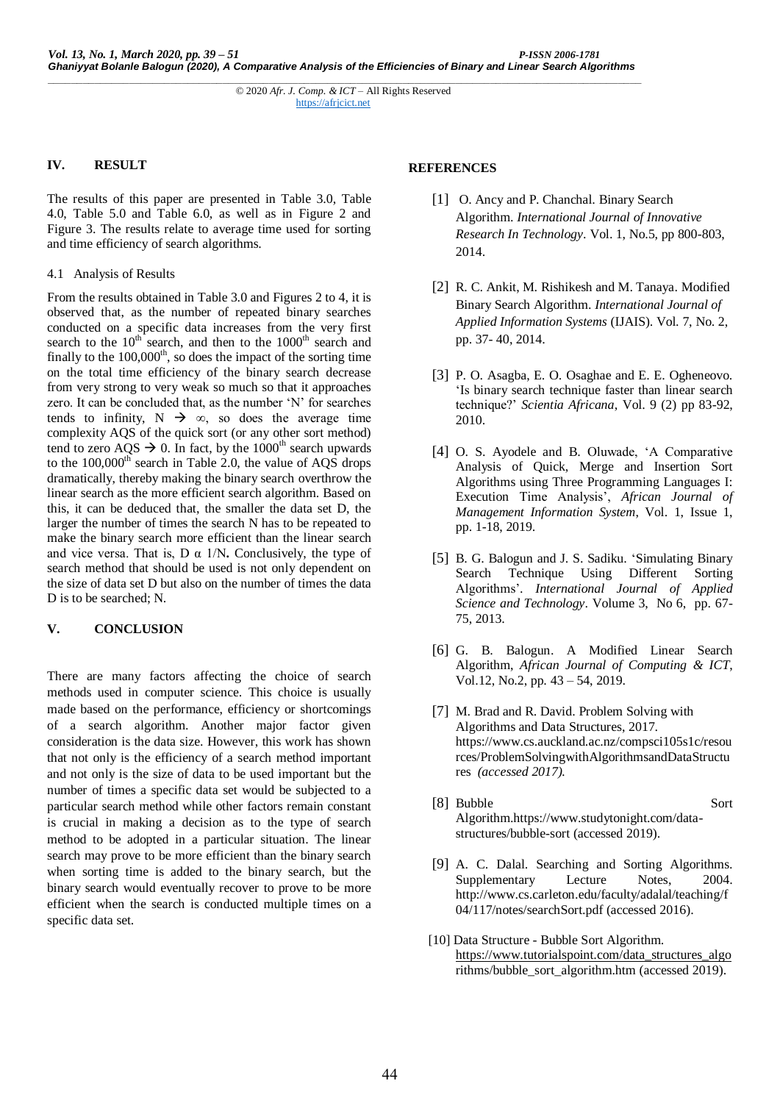# **IV. RESULT**

The results of this paper are presented in Table 3.0, Table 4.0, Table 5.0 and Table 6.0, as well as in Figure 2 and Figure 3. The results relate to average time used for sorting and time efficiency of search algorithms.

#### 4.1 Analysis of Results

From the results obtained in Table 3.0 and Figures 2 to 4, it is observed that, as the number of repeated binary searches conducted on a specific data increases from the very first search to the  $10^{th}$  search, and then to the  $1000^{th}$  search and finally to the  $100,000<sup>th</sup>$ , so does the impact of the sorting time on the total time efficiency of the binary search decrease from very strong to very weak so much so that it approaches zero. It can be concluded that, as the number 'N' for searches tends to infinity,  $N \rightarrow \infty$ , so does the average time complexity AQS of the quick sort (or any other sort method) tend to zero AQS  $\rightarrow$  0. In fact, by the 1000<sup>th</sup> search upwards to the  $100,000<sup>th</sup>$  search in Table 2.0, the value of AOS drops dramatically, thereby making the binary search overthrow the linear search as the more efficient search algorithm. Based on this, it can be deduced that, the smaller the data set D, the larger the number of times the search N has to be repeated to make the binary search more efficient than the linear search and vice versa. That is,  $D \alpha$  1/N. Conclusively, the type of search method that should be used is not only dependent on the size of data set D but also on the number of times the data D is to be searched; N.

# **V. CONCLUSION**

There are many factors affecting the choice of search methods used in computer science. This choice is usually made based on the performance, efficiency or shortcomings of a search algorithm. Another major factor given consideration is the data size. However, this work has shown that not only is the efficiency of a search method important and not only is the size of data to be used important but the number of times a specific data set would be subjected to a particular search method while other factors remain constant is crucial in making a decision as to the type of search method to be adopted in a particular situation. The linear search may prove to be more efficient than the binary search when sorting time is added to the binary search, but the binary search would eventually recover to prove to be more efficient when the search is conducted multiple times on a specific data set.

# **REFERENCES**

- [1] O. Ancy and P. Chanchal. Binary Search Algorithm. *International Journal of Innovative Research In Technology*. Vol. 1, No.5, pp 800-803, 2014.
- [2] R. C. Ankit, M. Rishikesh and M. Tanaya. Modified Binary Search Algorithm. *International Journal of Applied Information Systems* (IJAIS). Vol. 7, No. 2, pp. 37- 40, 2014.
- [3] P. O. Asagba, E. O. Osaghae and E. E. Ogheneovo. 'Is binary search technique faster than linear search technique?' *Scientia Africana*, Vol. 9 (2) pp 83-92, 2010.
- [4] O. S. Ayodele and B. Oluwade, 'A Comparative Analysis of Quick, Merge and Insertion Sort Algorithms using Three Programming Languages I: Execution Time Analysis', *African Journal of Management Information System*, Vol. 1, Issue 1, pp. 1-18, 2019.
- [5] B. G. Balogun and J. S. Sadiku. 'Simulating Binary Search Technique Using Different Sorting Algorithms'. *International Journal of Applied Science and Technology*. Volume 3, No 6, pp. 67- 75, 2013.
- [6] G. B. Balogun. A Modified Linear Search Algorithm, *African Journal of Computing & ICT*, Vol.12, No.2, pp. 43 – 54, 2019.
- [7] M. Brad and R. David. Problem Solving with Algorithms and Data Structures, 2017. https://www.cs.auckland.ac.nz/compsci105s1c/resou rces/ProblemSolvingwithAlgorithmsandDataStructu res *(accessed 2017).*
- [8] Bubble Sort Algorithm.https://www.studytonight.com/datastructures/bubble-sort (accessed 2019).
- [9] A. C. Dalal. Searching and Sorting Algorithms. Supplementary Lecture Notes, 2004. http://www.cs.carleton.edu/faculty/adalal/teaching/f 04/117/notes/searchSort.pdf (accessed 2016).
- [10] Data Structure Bubble Sort Algorithm. [https://www.tutorialspoint.com/data\\_structures\\_algo](https://www.tutorialspoint.com/data_structures_algo) rithms/bubble\_sort\_algorithm.htm (accessed 2019).

*\_\_\_\_\_\_\_\_\_\_\_\_\_\_\_\_\_\_\_\_\_\_\_\_\_\_\_\_\_\_\_\_\_\_\_\_\_\_\_\_\_\_\_\_\_\_\_\_\_\_\_\_\_\_\_\_\_\_\_\_\_\_\_\_\_\_\_\_\_\_\_\_\_\_\_\_\_\_\_\_\_\_\_\_\_\_\_\_\_\_\_\_\_\_\_\_\_\_\_\_\_\_* © 2020 *Afr. J. Comp. & ICT* – All Rights Reserved https://afrjcict.net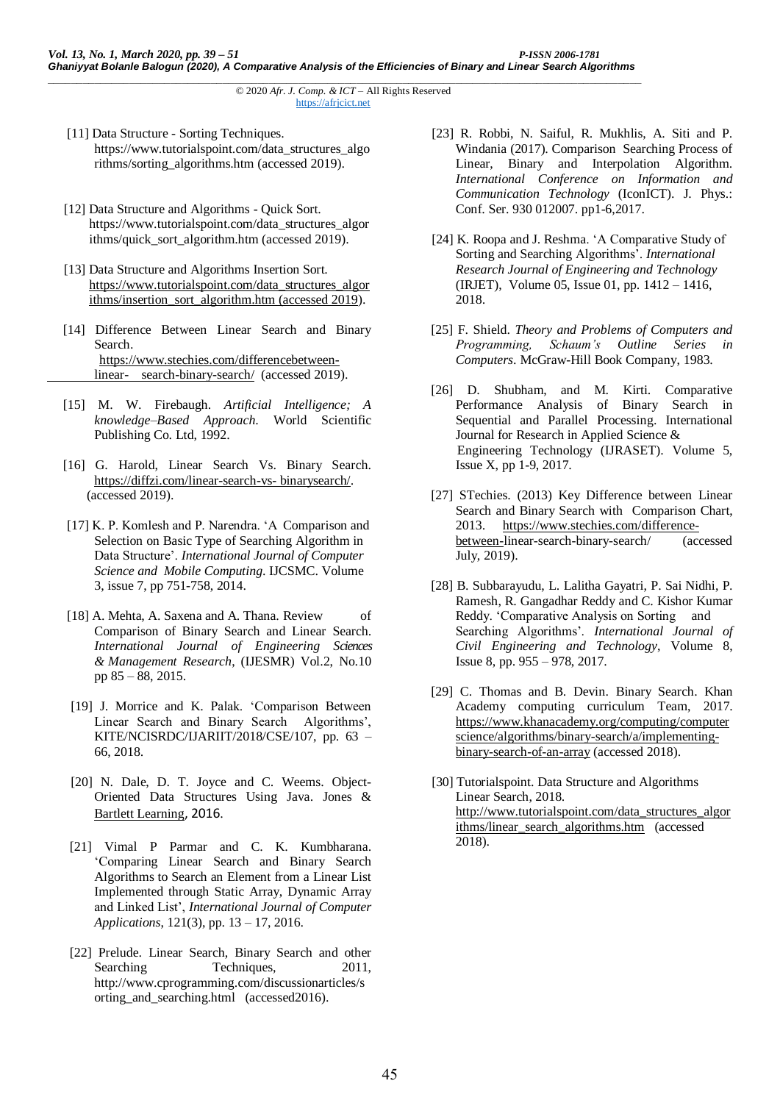- [11] Data Structure Sorting Techniques. https://www.tutorialspoint.com/data\_structures\_algo rithms/sorting\_algorithms.htm (accessed 2019).
- [12] Data Structure and Algorithms Quick Sort. [https://www.tutorialspoint.com/data\\_structures\\_algor](https://www.tutorialspoint.com/data_structures_algorithms/quick_sort_algorithm.htm%20(accessed%202019).) ithms/quick\_sort\_algorithm.htm (accessed 2019).
- [13] Data Structure and Algorithms Insertion Sort. [https://www.tutorialspoint.com/data\\_structures\\_algor](https://www.tutorialspoint.com/data_structures_algorithms/insertion_sort_algorithm.htm%20(accessed%202019) [ithms/insertion\\_sort\\_algorithm.htm \(accessed 2019\)](https://www.tutorialspoint.com/data_structures_algorithms/insertion_sort_algorithm.htm%20(accessed%202019).
- [14] Difference Between Linear Search and Binary Search. [https://www.stechies.com/differencebetween](https://www.stechies.com/differencebetween-%09linear-%09search-binary-search/)linear- [search-binary-search/](https://www.stechies.com/differencebetween-%09linear-%09search-binary-search/) (accessed 2019).
- [15] M. W. Firebaugh. *Artificial Intelligence; A knowledge–Based Approach*. World Scientific Publishing Co. Ltd, 1992.
- [16] G. Harold, Linear Search Vs. Binary Search. [https://diffzi.com/linear-search-vs-](https://diffzi.com/linear-search-vs-%20binarysearch/) binarysearch/. (accessed 2019).
- [17] K. P. Komlesh and P. Narendra. 'A Comparison and Selection on Basic Type of Searching Algorithm in Data Structure'. *International Journal of Computer Science and Mobile Computing*. IJCSMC. Volume 3, issue 7, pp 751-758, 2014.
- [18] A. Mehta, A. Saxena and A. Thana. Review of Comparison of Binary Search and Linear Search. *International Journal of Engineering Sciences & Management Research*, (IJESMR) Vol.2, No.10 pp 85 – 88, 2015.
- [19] J. Morrice and K. Palak. 'Comparison Between Linear Search and Binary Search Algorithms', KITE/NCISRDC/IJARIIT/2018/CSE/107, pp. 63 – 66, 2018.
- [20] N. Dale, D. T. Joyce and C. Weems. Object-Oriented Data Structures Using Java. [Jones &](https://books.google.com.ng/url?id=DuQxX8GVtVgC&pg=PA405&q=http://www.jblearning.com&clientid=ca-print-jones_bartlett&linkid=1&usg=AFQjCNGMjXPBqH9ftvnA1_g_t4iYRM4_Tw&source=gbs_pub_info_r)  [Bartlett Learning](https://books.google.com.ng/url?id=DuQxX8GVtVgC&pg=PA405&q=http://www.jblearning.com&clientid=ca-print-jones_bartlett&linkid=1&usg=AFQjCNGMjXPBqH9ftvnA1_g_t4iYRM4_Tw&source=gbs_pub_info_r), 2016.
- [21] Vimal P Parmar and C. K. Kumbharana. 'Comparing Linear Search and Binary Search Algorithms to Search an Element from a Linear List Implemented through Static Array, Dynamic Array and Linked List', *International Journal of Computer Applications*, 121(3), pp. 13 – 17, 2016.
- [22] Prelude. Linear Search, Binary Search and other Searching Techniques, 2011, http://www.cprogramming.com/discussionarticles/s orting\_and\_searching.html (accessed2016).
- [23] R. Robbi, N. Saiful, R. Mukhlis, A. Siti and P. Windania (2017). Comparison Searching Process of Linear, Binary and Interpolation Algorithm. *International Conference on Information and Communication Technology* (IconICT). J. Phys.: Conf. Ser. 930 012007. pp1-6,2017.
- [24] K. Roopa and J. Reshma. 'A Comparative Study of Sorting and Searching Algorithms'. *International Research Journal of Engineering and Technology* (IRJET), Volume 05, Issue 01, pp. 1412 – 1416, 2018.
- [25] F. Shield. *Theory and Problems of Computers and Programming, Schaum's Outline Series in Computers*. McGraw-Hill Book Company, 1983.
- [26] D. Shubham, and M. Kirti. Comparative Performance Analysis of Binary Search in Sequential and Parallel Processing. International Journal for Research in Applied Science & Engineering Technology (IJRASET). Volume 5, Issue X, pp 1-9, 2017.
- [27] STechies. (2013) Key Difference between Linear Search and Binary Search with Comparison Chart, 2013. [https://www.stechies.com/difference](https://www.stechies.com/difference-%09between-)[between-l](https://www.stechies.com/difference-%09between-)inear-search-binary-search/ (accessed July, 2019).
- [28] B. Subbarayudu, L. Lalitha Gayatri, P. Sai Nidhi, P. Ramesh, R. Gangadhar Reddy and C. Kishor Kumar Reddy. 'Comparative Analysis on Sorting and Searching Algorithms'. *International Journal of Civil Engineering and Technology*, Volume 8, Issue 8, pp. 955 – 978, 2017.
- [29] C. Thomas and B. Devin. Binary Search. Khan Academy computing curriculum Team, 2017. [https://www.khanacademy.org/computing/computer](https://www.khanacademy.org/computing/computer%09science/algorithms/binary-search/a/implementing-%09binary-search-of-an-array) [science/algorithms/binary-search/a/implementing](https://www.khanacademy.org/computing/computer%09science/algorithms/binary-search/a/implementing-%09binary-search-of-an-array)[binary-search-of-an-array](https://www.khanacademy.org/computing/computer%09science/algorithms/binary-search/a/implementing-%09binary-search-of-an-array) (accessed 2018).
- [30] Tutorialspoint. Data Structure and Algorithms Linear Search, 2018. [http://www.tutorialspoint.com/data\\_structures\\_algor](http://www.tutorialspoint.com/data_structures_algorithms/linear_search_algorithms.htm) [ithms/linear\\_search\\_algorithms.htm](http://www.tutorialspoint.com/data_structures_algorithms/linear_search_algorithms.htm) (accessed 2018).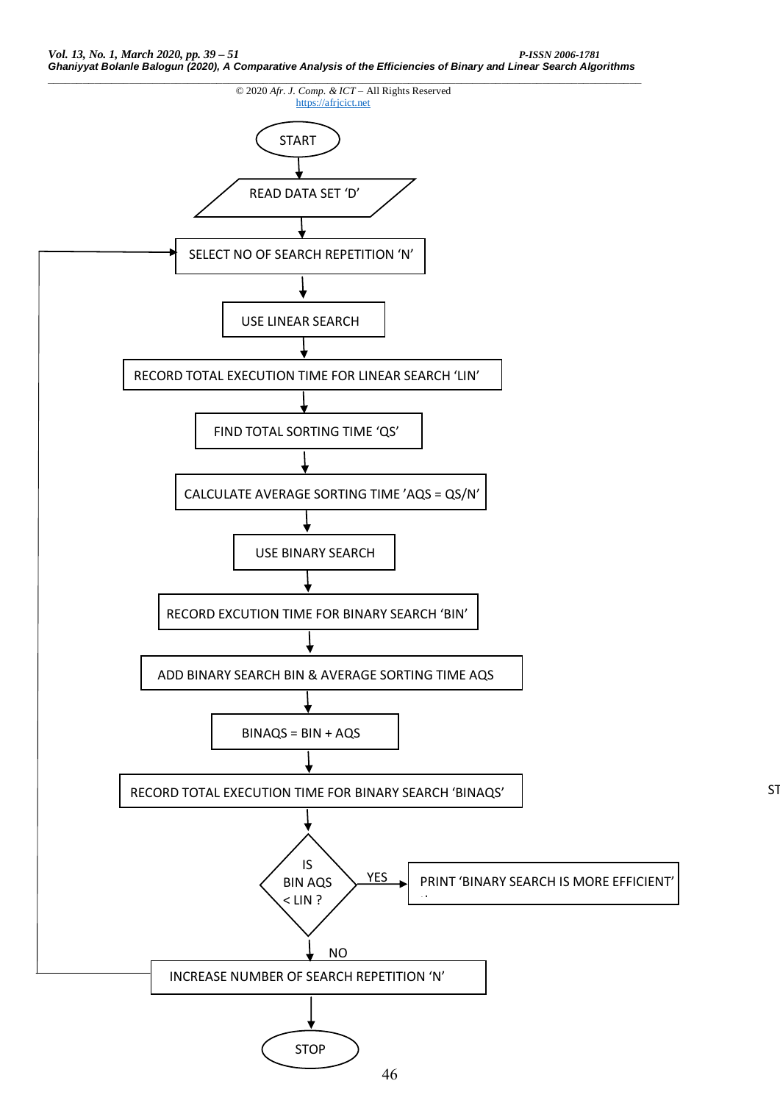

S<sub>1</sub>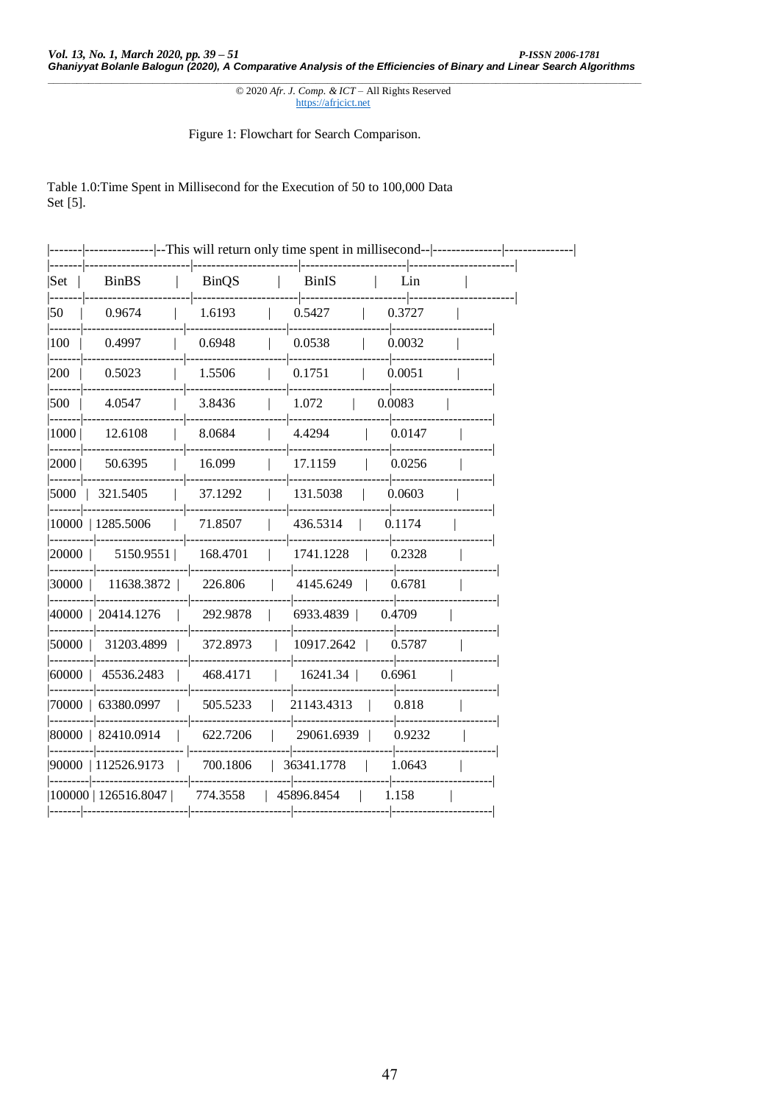© 2020 Afr. J. Comp. & ICT - All Rights Reserved https://afrjcict.net

Figure 1: Flowchart for Search Comparison.

Table 1.0: Time Spent in Millisecond for the Execution of 50 to 100,000 Data Set [5].

|                       |                      |              | ------------- --This will return only time spent in millisecond-- ---------- |                  |  |
|-----------------------|----------------------|--------------|------------------------------------------------------------------------------|------------------|--|
| Set                   | <b>BinBS</b>         | <b>BinQS</b> | <b>BinIS</b>                                                                 | Lin              |  |
| -----<br>$ 50\rangle$ | 0.9674               | 1.6193       | 0.5427                                                                       | 0.3727           |  |
| 100                   | 0.4997               | 0.6948       | 0.0538                                                                       | 0.0032           |  |
| 200                   | 0.5023               | 1.5506       | 0.1751                                                                       | 0.0051<br>------ |  |
| 500                   | 4.0547               | 3.8436       | 1.072<br>0.0083                                                              |                  |  |
| 1000  <br>-----       | 12.6108              | 8.0684       | 4.4294                                                                       | 0.0147           |  |
| 2000  <br>------      | 50.6395              | 16.099       | 17.1159                                                                      | 0.0256           |  |
| 15000 1               | 321.5405             | 37.1292      | 131.5038                                                                     | 0.0603           |  |
|                       | 10000   1285.5006    | 71.8507      | 436.5314                                                                     | 0.1174           |  |
| 20000                 | 5150.9551            | 168.4701     | 1741.1228                                                                    | 0.2328           |  |
| 30000                 | 11638.3872           | 226.806      | 4145.6249                                                                    | 0.6781           |  |
|                       | 40000   20414.1276   | 292.9878     | 6933.4839                                                                    | 0.4709           |  |
| 50000                 | 31203.4899           | 372.8973     | 10917.2642                                                                   | 0.5787           |  |
| 60000                 | 45536.2483           | 468.4171     | 16241.34                                                                     | 0.6961           |  |
|                       | 70000   63380.0997   | 505.5233     | 21143.4313                                                                   | 0.818            |  |
|                       | 80000   82410.0914   | 622.7206     | 29061.6939                                                                   | 0.9232           |  |
|                       | 90000   112526.9173  | 700.1806     | 36341.1778                                                                   | 1.0643           |  |
|                       | 100000   126516.8047 | 774.3558     | 45896.8454                                                                   | 1.158            |  |
|                       |                      |              |                                                                              |                  |  |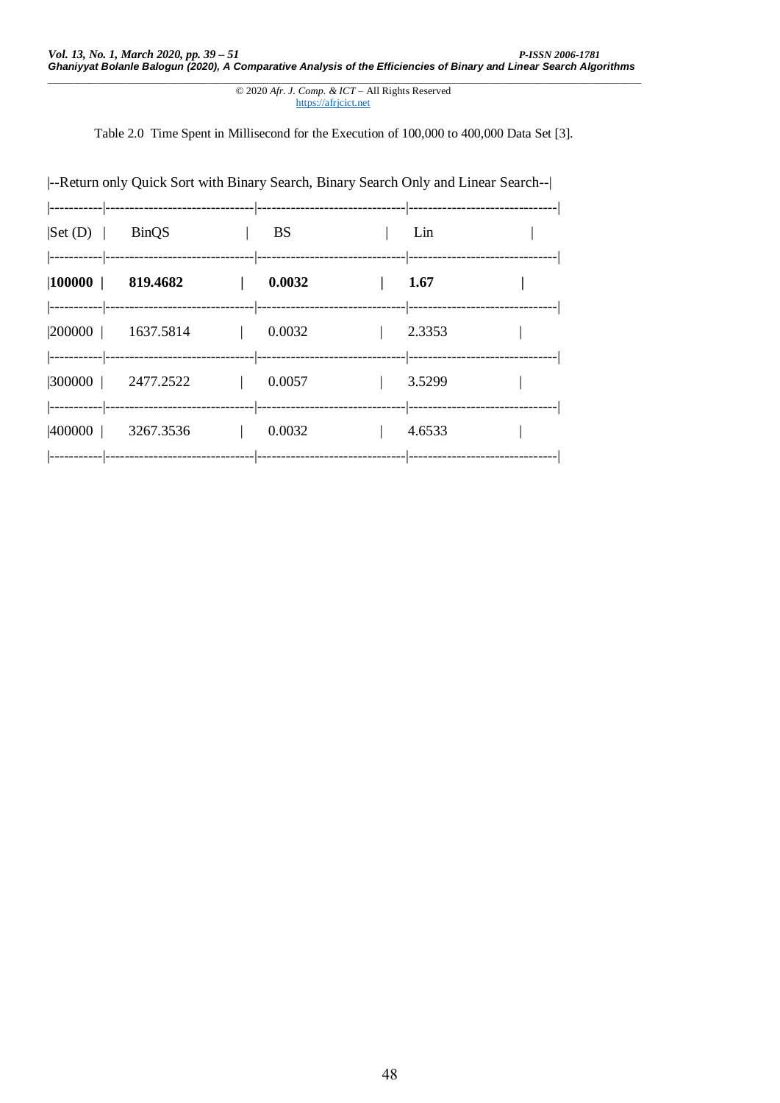© 2020 *Afr. J. Comp. & ICT* – All Rights Reserved https://afrjcict.net

Table 2.0 Time Spent in Millisecond for the Execution of 100,000 to 400,000 Data Set [3].

| --Return only Quick Sort with Binary Search, Binary Search Only and Linear Search-- |           |                                    |  |
|-------------------------------------------------------------------------------------|-----------|------------------------------------|--|
| $\left  \text{Set (D)} \right $ BinQS                                               | <b>BS</b> | Lin                                |  |
| $ 100000 $ 819.4682                                                                 | 0.0032    | 1.67                               |  |
| $ 200000 $ 1637.5814                                                                | 0.0032    | 2.3353                             |  |
| $ 300000 $ 2477.2522                                                                | 0.0057    | 3.5299                             |  |
| $ 400000 $ 3267.3536                                                                | 0.0032    | 4.6533<br>---------- ------------- |  |
|                                                                                     |           |                                    |  |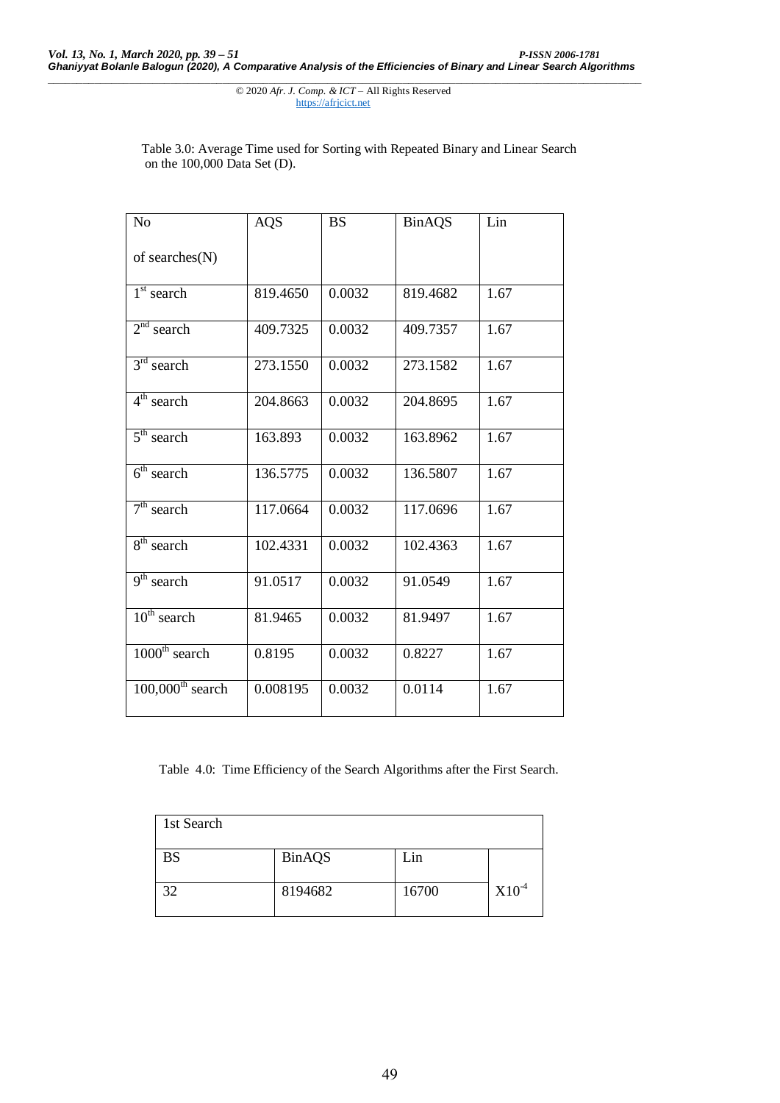> Table 3.0: Average Time used for Sorting with Repeated Binary and Linear Search on the 100,000 Data Set (D).

| N <sub>o</sub>                 | <b>AQS</b> | <b>BS</b> | <b>BinAQS</b> | Lin  |
|--------------------------------|------------|-----------|---------------|------|
| of searches(N)                 |            |           |               |      |
| $1st$ search                   | 819.4650   | 0.0032    | 819.4682      | 1.67 |
| $2nd$ search                   | 409.7325   | 0.0032    | 409.7357      | 1.67 |
| $3rd$ search                   | 273.1550   | 0.0032    | 273.1582      | 1.67 |
| $4th$ search                   | 204.8663   | 0.0032    | 204.8695      | 1.67 |
| $5th$ search                   | 163.893    | 0.0032    | 163.8962      | 1.67 |
| $6th$ search                   | 136.5775   | 0.0032    | 136.5807      | 1.67 |
| $7th$ search                   | 117.0664   | 0.0032    | 117.0696      | 1.67 |
| $8th$ search                   | 102.4331   | 0.0032    | 102.4363      | 1.67 |
| $9th$ search                   | 91.0517    | 0.0032    | 91.0549       | 1.67 |
| $10^{\text{th}}$ search        | 81.9465    | 0.0032    | 81.9497       | 1.67 |
| $1000th$ search                | 0.8195     | 0.0032    | 0.8227        | 1.67 |
| $100,000$ <sup>th</sup> search | 0.008195   | 0.0032    | 0.0114        | 1.67 |

Table 4.0: Time Efficiency of the Search Algorithms after the First Search.

| 1st Search |               |       |         |
|------------|---------------|-------|---------|
| <b>BS</b>  | <b>BinAQS</b> | Lin   |         |
| 32         | 8194682       | 16700 | $X10-4$ |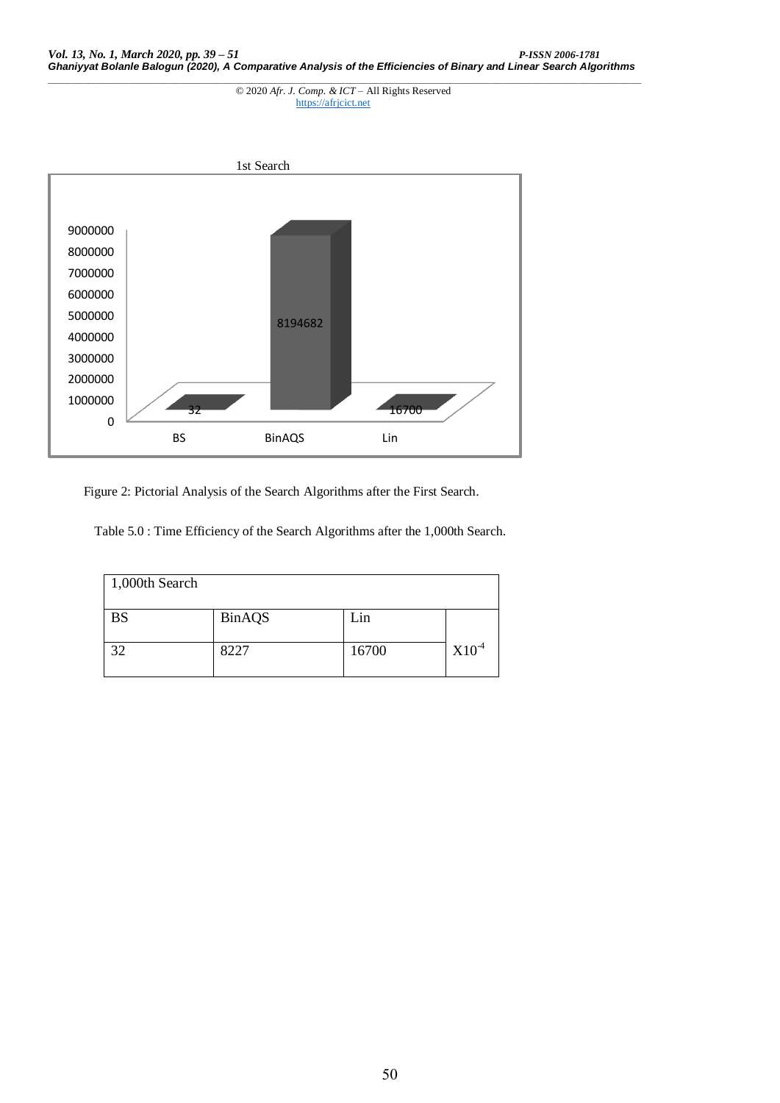

Figure 2: Pictorial Analysis of the Search Algorithms after the First Search.

Table 5.0 : Time Efficiency of the Search Algorithms after the 1,000th Search.

| 1,000th Search |               |       |            |
|----------------|---------------|-------|------------|
| <b>BS</b>      | <b>BinAQS</b> | Lin   |            |
| 32             | 8227          | 16700 | $X10^{-4}$ |